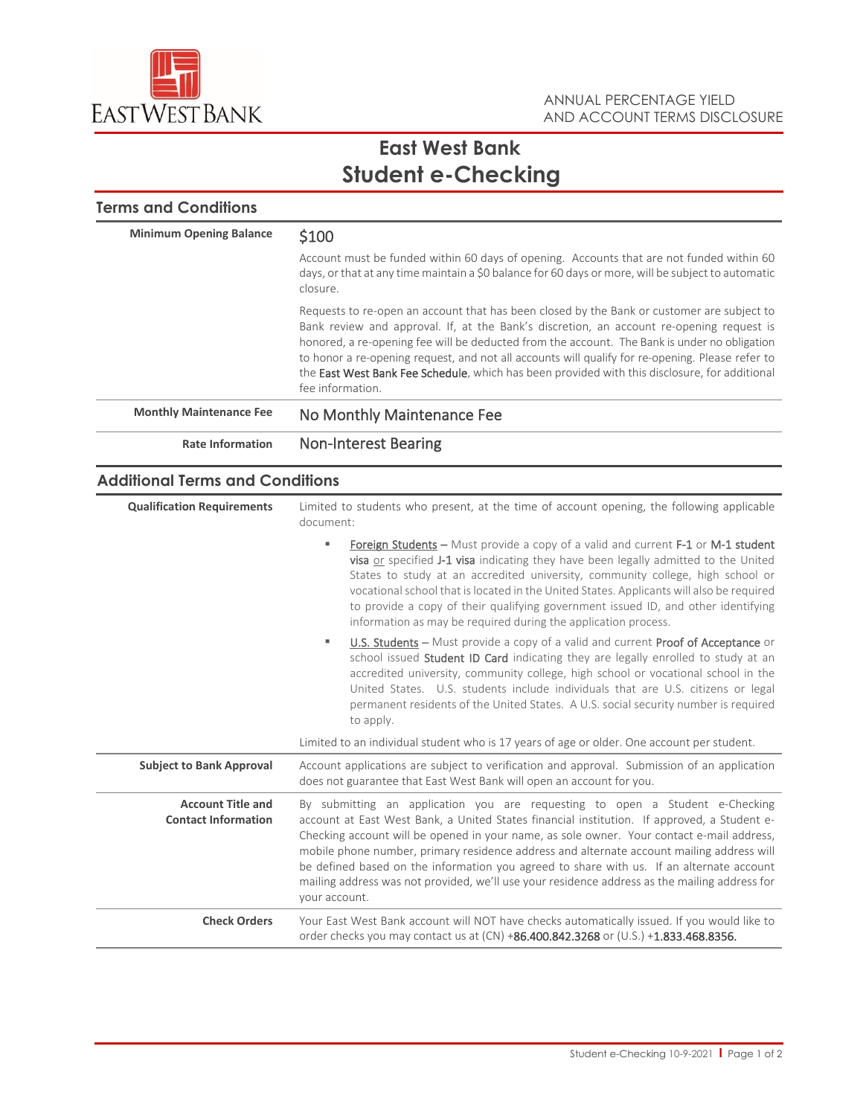

# **East West Bank Student e-Checking**

| <b>Minimum Opening Balance</b> | \$100                                                                                                                                                                                                                                                                                                                                                                                                                                                                                                           |
|--------------------------------|-----------------------------------------------------------------------------------------------------------------------------------------------------------------------------------------------------------------------------------------------------------------------------------------------------------------------------------------------------------------------------------------------------------------------------------------------------------------------------------------------------------------|
|                                | Account must be funded within 60 days of opening. Accounts that are not funded within 60<br>days, or that at any time maintain a \$0 balance for 60 days or more, will be subject to automatic<br>closure.                                                                                                                                                                                                                                                                                                      |
|                                | Requests to re-open an account that has been closed by the Bank or customer are subject to<br>Bank review and approval. If, at the Bank's discretion, an account re-opening request is<br>honored, a re-opening fee will be deducted from the account. The Bank is under no obligation<br>to honor a re-opening request, and not all accounts will qualify for re-opening. Please refer to<br>the East West Bank Fee Schedule, which has been provided with this disclosure, for additional<br>fee information. |
| <b>Monthly Maintenance Fee</b> | No Monthly Maintenance Fee                                                                                                                                                                                                                                                                                                                                                                                                                                                                                      |
| <b>Rate Information</b>        | <b>Non-Interest Bearing</b>                                                                                                                                                                                                                                                                                                                                                                                                                                                                                     |

### **Additional Terms and Conditions**

| <b>Qualification Requirements</b>                      | Limited to students who present, at the time of account opening, the following applicable<br>document:                                                                                                                                                                                                                                                                                                                                                                                                                                                                              |
|--------------------------------------------------------|-------------------------------------------------------------------------------------------------------------------------------------------------------------------------------------------------------------------------------------------------------------------------------------------------------------------------------------------------------------------------------------------------------------------------------------------------------------------------------------------------------------------------------------------------------------------------------------|
|                                                        | Foreign Students – Must provide a copy of a valid and current F-1 or M-1 student<br>٠<br>visa or specified J-1 visa indicating they have been legally admitted to the United<br>States to study at an accredited university, community college, high school or<br>vocational school that is located in the United States. Applicants will also be required<br>to provide a copy of their qualifying government issued ID, and other identifying<br>information as may be required during the application process.                                                                   |
|                                                        | U.S. Students – Must provide a copy of a valid and current Proof of Acceptance or<br>٠<br>school issued <b>Student ID Card</b> indicating they are legally enrolled to study at an<br>accredited university, community college, high school or vocational school in the<br>United States. U.S. students include individuals that are U.S. citizens or legal<br>permanent residents of the United States. A U.S. social security number is required<br>to apply.                                                                                                                     |
|                                                        | Limited to an individual student who is 17 years of age or older. One account per student.                                                                                                                                                                                                                                                                                                                                                                                                                                                                                          |
| <b>Subject to Bank Approval</b>                        | Account applications are subject to verification and approval. Submission of an application<br>does not guarantee that East West Bank will open an account for you.                                                                                                                                                                                                                                                                                                                                                                                                                 |
| <b>Account Title and</b><br><b>Contact Information</b> | By submitting an application you are requesting to open a Student e-Checking<br>account at East West Bank, a United States financial institution. If approved, a Student e-<br>Checking account will be opened in your name, as sole owner. Your contact e-mail address,<br>mobile phone number, primary residence address and alternate account mailing address will<br>be defined based on the information you agreed to share with us. If an alternate account<br>mailing address was not provided, we'll use your residence address as the mailing address for<br>your account. |
| <b>Check Orders</b>                                    | Your East West Bank account will NOT have checks automatically issued. If you would like to<br>order checks you may contact us at $(CN) +86.400.842.3268$ or $(U.S.) +1.833.468.8356$ .                                                                                                                                                                                                                                                                                                                                                                                             |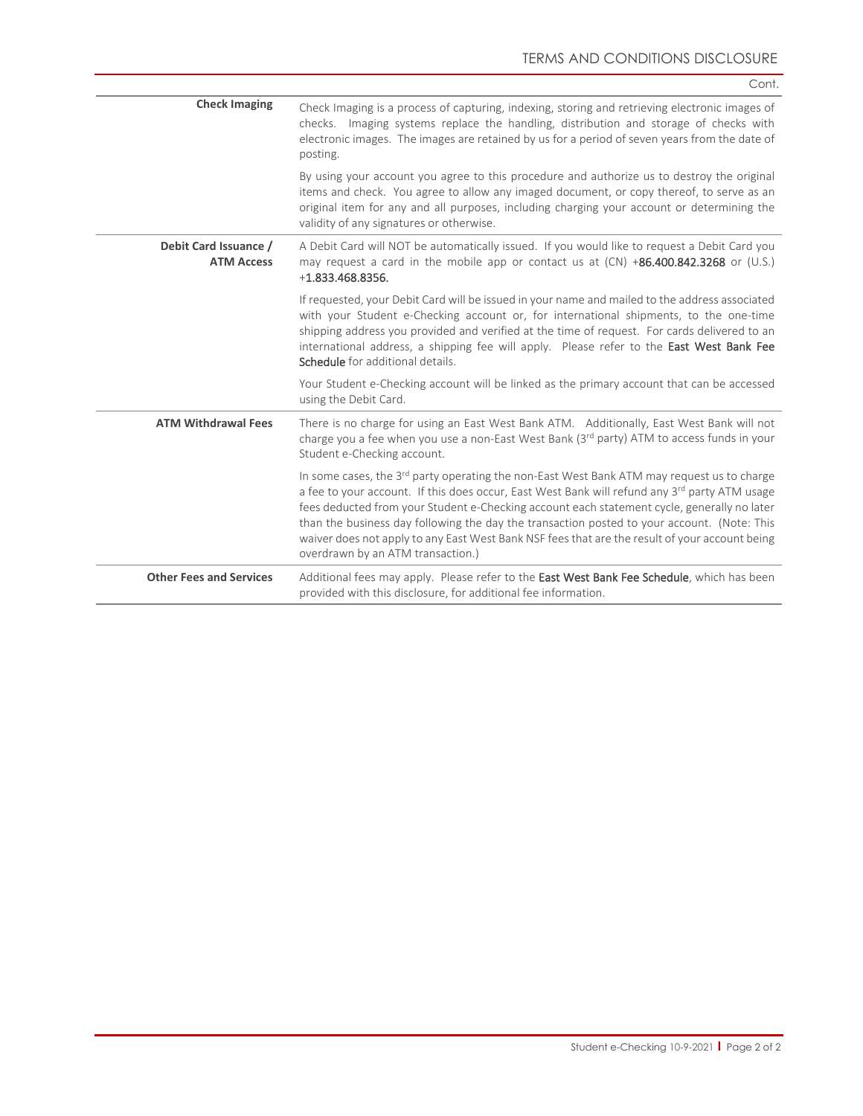|                                            | Cont.                                                                                                                                                                                                                                                                                                                                                                                                                                                                                                                                        |
|--------------------------------------------|----------------------------------------------------------------------------------------------------------------------------------------------------------------------------------------------------------------------------------------------------------------------------------------------------------------------------------------------------------------------------------------------------------------------------------------------------------------------------------------------------------------------------------------------|
| <b>Check Imaging</b>                       | Check Imaging is a process of capturing, indexing, storing and retrieving electronic images of<br>checks. Imaging systems replace the handling, distribution and storage of checks with<br>electronic images. The images are retained by us for a period of seven years from the date of<br>posting.                                                                                                                                                                                                                                         |
|                                            | By using your account you agree to this procedure and authorize us to destroy the original<br>items and check. You agree to allow any imaged document, or copy thereof, to serve as an<br>original item for any and all purposes, including charging your account or determining the<br>validity of any signatures or otherwise.                                                                                                                                                                                                             |
| Debit Card Issuance /<br><b>ATM Access</b> | A Debit Card will NOT be automatically issued. If you would like to request a Debit Card you<br>may request a card in the mobile app or contact us at (CN) +86.400.842.3268 or (U.S.)<br>$+1.833.468.8356.$                                                                                                                                                                                                                                                                                                                                  |
|                                            | If requested, your Debit Card will be issued in your name and mailed to the address associated<br>with your Student e-Checking account or, for international shipments, to the one-time<br>shipping address you provided and verified at the time of request. For cards delivered to an<br>international address, a shipping fee will apply. Please refer to the East West Bank Fee<br>Schedule for additional details.                                                                                                                      |
|                                            | Your Student e-Checking account will be linked as the primary account that can be accessed<br>using the Debit Card.                                                                                                                                                                                                                                                                                                                                                                                                                          |
| <b>ATM Withdrawal Fees</b>                 | There is no charge for using an East West Bank ATM. Additionally, East West Bank will not<br>charge you a fee when you use a non-East West Bank (3rd party) ATM to access funds in your<br>Student e-Checking account.                                                                                                                                                                                                                                                                                                                       |
|                                            | In some cases, the 3rd party operating the non-East West Bank ATM may request us to charge<br>a fee to your account. If this does occur, East West Bank will refund any 3 <sup>rd</sup> party ATM usage<br>fees deducted from your Student e-Checking account each statement cycle, generally no later<br>than the business day following the day the transaction posted to your account. (Note: This<br>waiver does not apply to any East West Bank NSF fees that are the result of your account being<br>overdrawn by an ATM transaction.) |
| <b>Other Fees and Services</b>             | Additional fees may apply. Please refer to the East West Bank Fee Schedule, which has been<br>provided with this disclosure, for additional fee information.                                                                                                                                                                                                                                                                                                                                                                                 |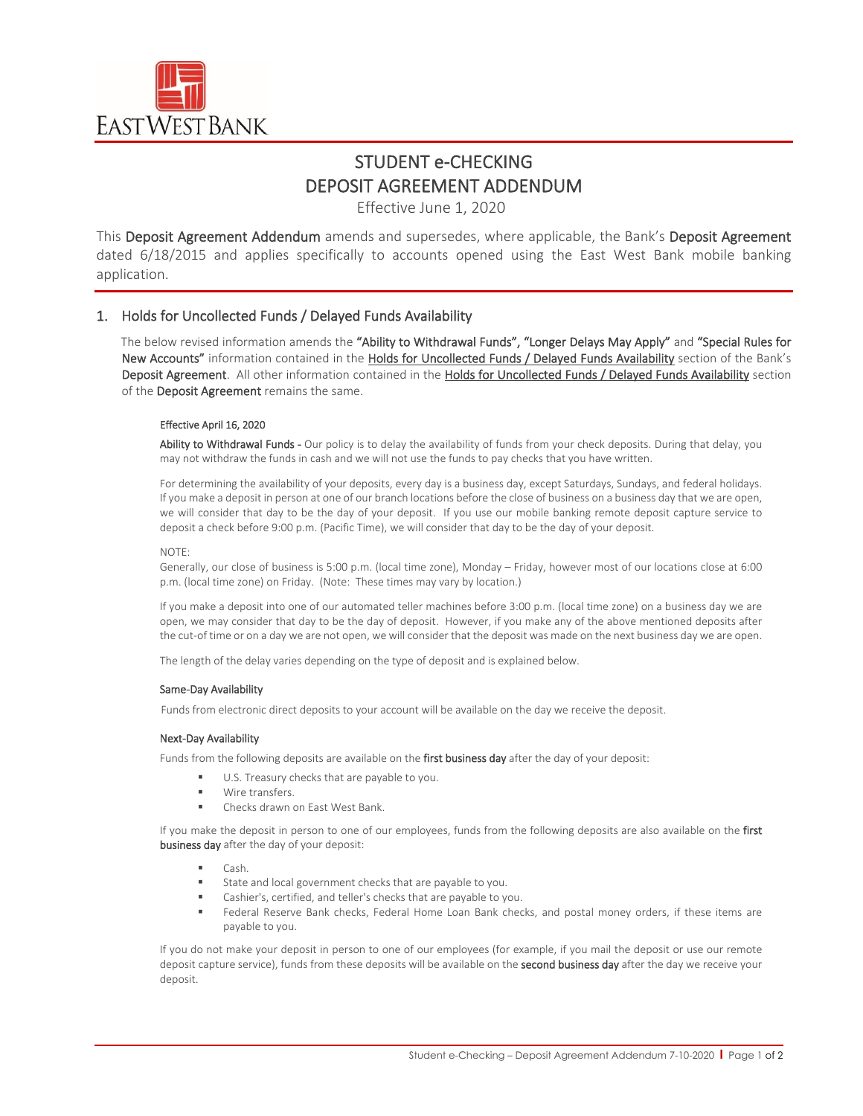

# STUDENT e-CHECKING DEPOSIT AGREEMENT ADDENDUM

Effective June 1, 2020

This Deposit Agreement Addendum amends and supersedes, where applicable, the Bank's Deposit Agreement dated 6/18/2015 and applies specifically to accounts opened using the East West Bank mobile banking application.

### 1. Holds for Uncollected Funds / Delayed Funds Availability

The below revised information amends the "Ability to Withdrawal Funds", "Longer Delays May Apply" and "Special Rules for New Accounts" information contained in the Holds for Uncollected Funds / Delayed Funds Availability section of the Bank's Deposit Agreement. All other information contained in the Holds for Uncollected Funds / Delayed Funds Availability section of the Deposit Agreement remains the same.

### Effective April 16, 2020

Ability to Withdrawal Funds - Our policy is to delay the availability of funds from your check deposits. During that delay, you may not withdraw the funds in cash and we will not use the funds to pay checks that you have written.

For determining the availability of your deposits, every day is a business day, except Saturdays, Sundays, and federal holidays. If you make a deposit in person at one of our branch locations before the close of business on a business day that we are open, we will consider that day to be the day of your deposit. If you use our mobile banking remote deposit capture service to deposit a check before 9:00 p.m. (Pacific Time), we will consider that day to be the day of your deposit.

### $NOTF$

Generally, our close of business is 5:00 p.m. (local time zone), Monday – Friday, however most of our locations close at 6:00 p.m. (local time zone) on Friday. (Note: These times may vary by location.)

If you make a deposit into one of our automated teller machines before 3:00 p.m. (local time zone) on a business day we are open, we may consider that day to be the day of deposit. However, if you make any of the above mentioned deposits after the cut-of time or on a day we are not open, we will consider that the deposit was made on the next business day we are open.

The length of the delay varies depending on the type of deposit and is explained below.

### Same-Day Availability

Funds from electronic direct deposits to your account will be available on the day we receive the deposit.

### Next-Day Availability

Funds from the following deposits are available on the first business day after the day of your deposit:

- U.S. Treasury checks that are payable to you.
- Wire transfers.
- **EXECUTE:** Checks drawn on East West Bank.

If you make the deposit in person to one of our employees, funds from the following deposits are also available on the first business day after the day of your deposit:

- $\Box$ Cash.
- State and local government checks that are payable to you.
- Cashier's, certified, and teller's checks that are payable to you.
- Federal Reserve Bank checks, Federal Home Loan Bank checks, and postal money orders, if these items are payable to you.

If you do not make your deposit in person to one of our employees (for example, if you mail the deposit or use our remote deposit capture service), funds from these deposits will be available on the second business day after the day we receive your deposit.